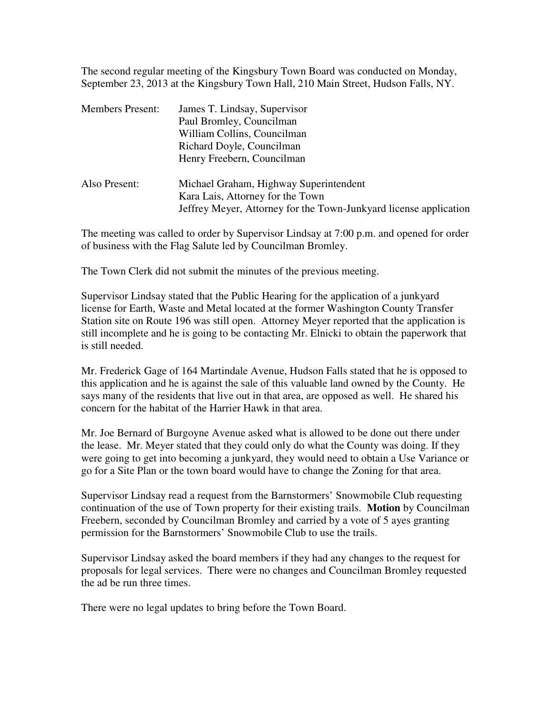The second regular meeting of the Kingsbury Town Board was conducted on Monday, September 23, 2013 at the Kingsbury Town Hall, 210 Main Street, Hudson Falls, NY.

| <b>Members Present:</b> | James T. Lindsay, Supervisor<br>Paul Bromley, Councilman<br>William Collins, Councilman<br>Richard Doyle, Councilman                                                          |
|-------------------------|-------------------------------------------------------------------------------------------------------------------------------------------------------------------------------|
| Also Present:           | Henry Freebern, Councilman<br>Michael Graham, Highway Superintendent<br>Kara Lais, Attorney for the Town<br>Jeffrey Meyer, Attorney for the Town-Junkyard license application |

The meeting was called to order by Supervisor Lindsay at 7:00 p.m. and opened for order of business with the Flag Salute led by Councilman Bromley.

The Town Clerk did not submit the minutes of the previous meeting.

Supervisor Lindsay stated that the Public Hearing for the application of a junkyard license for Earth, Waste and Metal located at the former Washington County Transfer Station site on Route 196 was still open. Attorney Meyer reported that the application is still incomplete and he is going to be contacting Mr. Elnicki to obtain the paperwork that is still needed.

Mr. Frederick Gage of 164 Martindale Avenue, Hudson Falls stated that he is opposed to this application and he is against the sale of this valuable land owned by the County. He says many of the residents that live out in that area, are opposed as well. He shared his concern for the habitat of the Harrier Hawk in that area.

Mr. Joe Bernard of Burgoyne Avenue asked what is allowed to be done out there under the lease. Mr. Meyer stated that they could only do what the County was doing. If they were going to get into becoming a junkyard, they would need to obtain a Use Variance or go for a Site Plan or the town board would have to change the Zoning for that area.

Supervisor Lindsay read a request from the Barnstormers' Snowmobile Club requesting continuation of the use of Town property for their existing trails. **Motion** by Councilman Freebern, seconded by Councilman Bromley and carried by a vote of 5 ayes granting permission for the Barnstormers' Snowmobile Club to use the trails.

Supervisor Lindsay asked the board members if they had any changes to the request for proposals for legal services. There were no changes and Councilman Bromley requested the ad be run three times.

There were no legal updates to bring before the Town Board.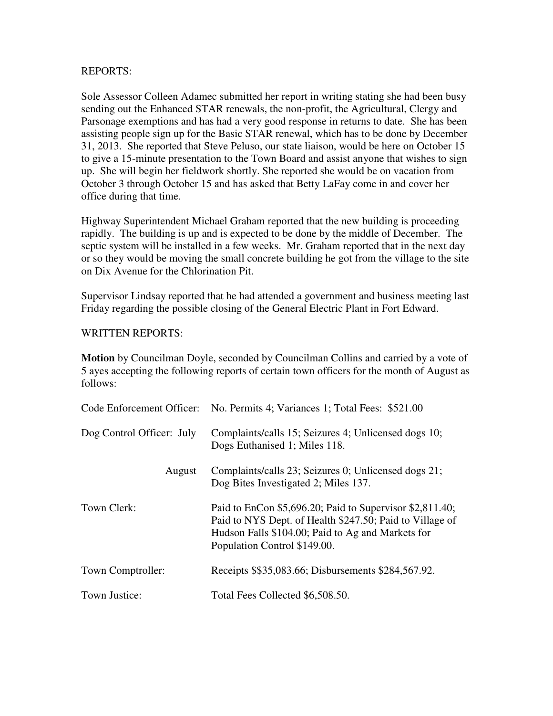## REPORTS:

Sole Assessor Colleen Adamec submitted her report in writing stating she had been busy sending out the Enhanced STAR renewals, the non-profit, the Agricultural, Clergy and Parsonage exemptions and has had a very good response in returns to date. She has been assisting people sign up for the Basic STAR renewal, which has to be done by December 31, 2013. She reported that Steve Peluso, our state liaison, would be here on October 15 to give a 15-minute presentation to the Town Board and assist anyone that wishes to sign up. She will begin her fieldwork shortly. She reported she would be on vacation from October 3 through October 15 and has asked that Betty LaFay come in and cover her office during that time.

Highway Superintendent Michael Graham reported that the new building is proceeding rapidly. The building is up and is expected to be done by the middle of December. The septic system will be installed in a few weeks. Mr. Graham reported that in the next day or so they would be moving the small concrete building he got from the village to the site on Dix Avenue for the Chlorination Pit.

Supervisor Lindsay reported that he had attended a government and business meeting last Friday regarding the possible closing of the General Electric Plant in Fort Edward.

## WRITTEN REPORTS:

**Motion** by Councilman Doyle, seconded by Councilman Collins and carried by a vote of 5 ayes accepting the following reports of certain town officers for the month of August as follows:

|                           | Code Enforcement Officer: No. Permits 4; Variances 1; Total Fees: \$521.00                                                                                                                                |
|---------------------------|-----------------------------------------------------------------------------------------------------------------------------------------------------------------------------------------------------------|
| Dog Control Officer: July | Complaints/calls 15; Seizures 4; Unlicensed dogs 10;<br>Dogs Euthanised 1; Miles 118.                                                                                                                     |
| August                    | Complaints/calls 23; Seizures 0; Unlicensed dogs 21;<br>Dog Bites Investigated 2; Miles 137.                                                                                                              |
| Town Clerk:               | Paid to EnCon \$5,696.20; Paid to Supervisor \$2,811.40;<br>Paid to NYS Dept. of Health \$247.50; Paid to Village of<br>Hudson Falls \$104.00; Paid to Ag and Markets for<br>Population Control \$149.00. |
| Town Comptroller:         | Receipts \$\$35,083.66; Disbursements \$284,567.92.                                                                                                                                                       |
| Town Justice:             | Total Fees Collected \$6,508.50.                                                                                                                                                                          |